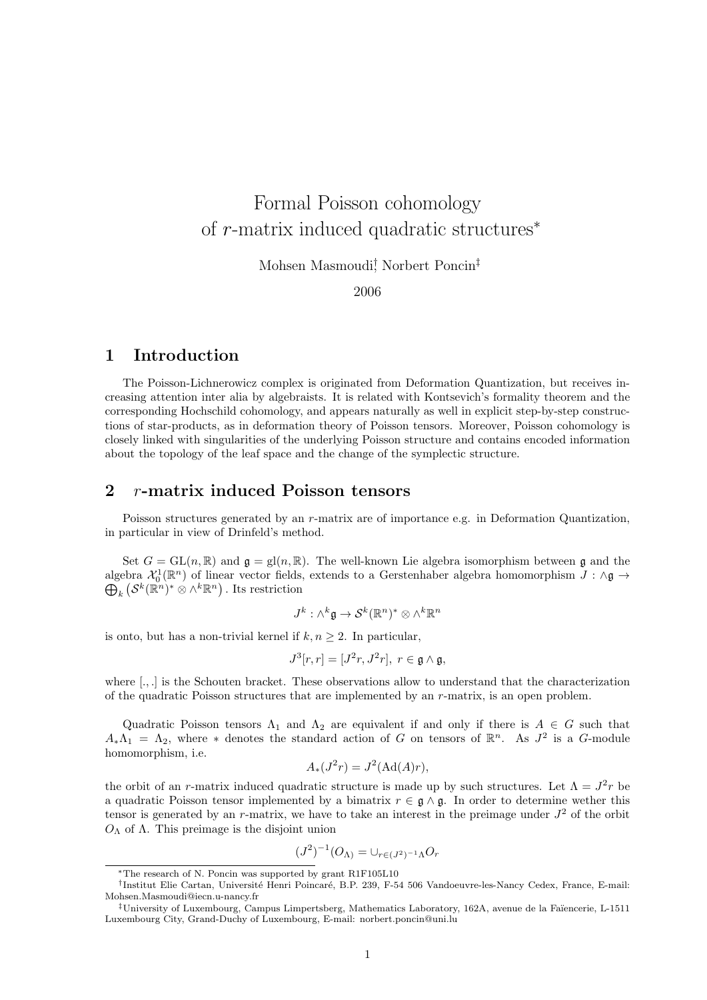# Formal Poisson cohomology of r-matrix induced quadratic structures<sup>∗</sup>

Mohsen Masmoudi† , Norbert Poncin‡

2006

# 1 Introduction

The Poisson-Lichnerowicz complex is originated from Deformation Quantization, but receives increasing attention inter alia by algebraists. It is related with Kontsevich's formality theorem and the corresponding Hochschild cohomology, and appears naturally as well in explicit step-by-step constructions of star-products, as in deformation theory of Poisson tensors. Moreover, Poisson cohomology is closely linked with singularities of the underlying Poisson structure and contains encoded information about the topology of the leaf space and the change of the symplectic structure.

## 2 r-matrix induced Poisson tensors

Poisson structures generated by an r-matrix are of importance e.g. in Deformation Quantization, in particular in view of Drinfeld's method.

Set  $G = GL(n, \mathbb{R})$  and  $\mathfrak{g} = gl(n, \mathbb{R})$ . The well-known Lie algebra isomorphism between g and the algebra  $\mathcal{X}_0^1(\mathbb{R}^n)$  of linear vector fields, extends to a Gerstenhaber algebra homomorphism  $J : \wedge \mathfrak{g} \to$  $\bigoplus_k \left( \mathcal{S}^k(\mathbb{R}^n)^* \otimes \wedge^k \mathbb{R}^n \right)$  . Its restriction

$$
J^k: \wedge^k \mathfrak{g} \to \mathcal{S}^k(\mathbb{R}^n)^* \otimes \wedge^k \mathbb{R}^n
$$

is onto, but has a non-trivial kernel if  $k, n \geq 2$ . In particular,

$$
J^3[r,r]=[J^2r,J^2r],\ r\in\mathfrak{g}\wedge\mathfrak{g},
$$

where [., ] is the Schouten bracket. These observations allow to understand that the characterization of the quadratic Poisson structures that are implemented by an  $r$ -matrix, is an open problem.

Quadratic Poisson tensors  $\Lambda_1$  and  $\Lambda_2$  are equivalent if and only if there is  $A \in G$  such that  $A_*\Lambda_1 = \Lambda_2$ , where \* denotes the standard action of G on tensors of  $\mathbb{R}^n$ . As  $J^2$  is a G-module homomorphism, i.e.

$$
A_*(J^2r) = J^2(\operatorname{Ad}(A)r),
$$

the orbit of an r-matrix induced quadratic structure is made up by such structures. Let  $\Lambda = J^2 r$  be a quadratic Poisson tensor implemented by a bimatrix  $r \in \mathfrak{g} \wedge \mathfrak{g}$ . In order to determine wether this tensor is generated by an r-matrix, we have to take an interest in the preimage under  $J^2$  of the orbit  $O_Λ$  of Λ. This preimage is the disjoint union

$$
(J^2)^{-1}(O_{\Lambda}) = \cup_{r \in (J^2)^{-1}\Lambda} O_r
$$

<sup>∗</sup>The research of N. Poncin was supported by grant R1F105L10

<sup>&</sup>lt;sup>†</sup> Institut Elie Cartan, Université Henri Poincaré, B.P. 239, F-54 506 Vandoeuvre-les-Nancy Cedex, France, E-mail: Mohsen.Masmoudi@iecn.u-nancy.fr

<sup>‡</sup>University of Luxembourg, Campus Limpertsberg, Mathematics Laboratory, 162A, avenue de la Fa¨ıencerie, L-1511 Luxembourg City, Grand-Duchy of Luxembourg, E-mail: norbert.poncin@uni.lu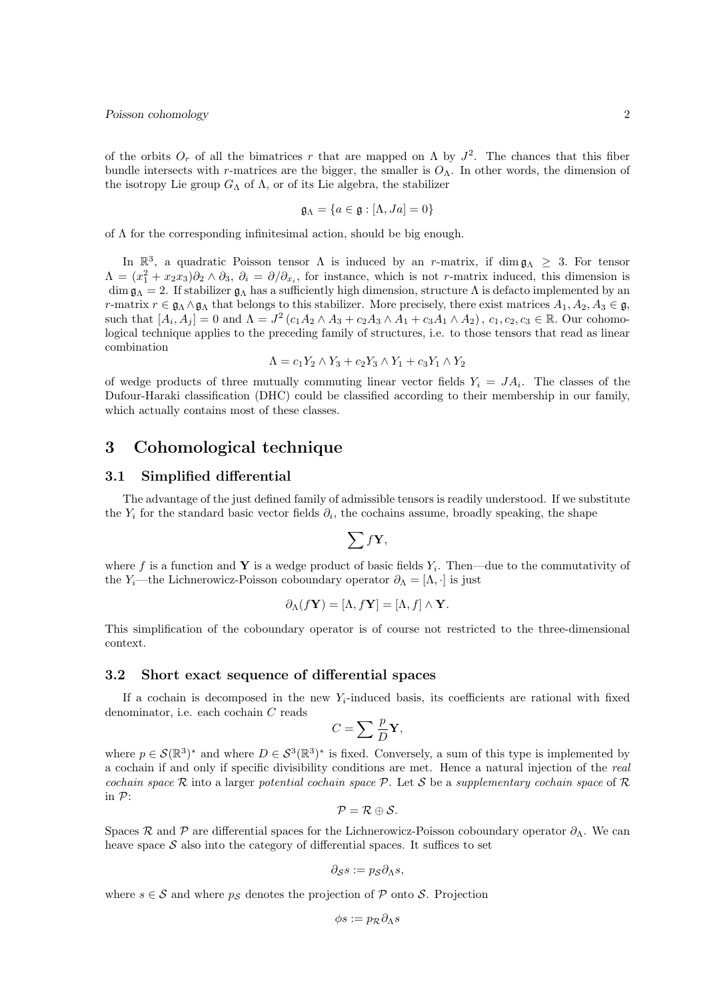of the orbits  $O_r$  of all the bimatrices r that are mapped on  $\Lambda$  by  $J^2$ . The chances that this fiber bundle intersects with r-matrices are the bigger, the smaller is  $O_\Lambda$ . In other words, the dimension of the isotropy Lie group  $G_{\Lambda}$  of  $\Lambda$ , or of its Lie algebra, the stabilizer

$$
\mathfrak{g}_\Lambda=\{a\in\mathfrak{g}:[\Lambda,J a]=0\}
$$

of  $\Lambda$  for the corresponding infinitesimal action, should be big enough.

In  $\mathbb{R}^3$ , a quadratic Poisson tensor  $\Lambda$  is induced by an r-matrix, if dim  $\mathfrak{g}_{\Lambda} \geq 3$ . For tensor  $\Lambda = (x_1^2 + x_2x_3)\partial_2 \wedge \partial_3, \ \partial_i = \partial/\partial_{x_i}$ , for instance, which is not r-matrix induced, this dimension is dim  $\mathfrak{g}_\Lambda = 2$ . If stabilizer  $\mathfrak{g}_\Lambda$  has a sufficiently high dimension, structure  $\Lambda$  is defacto implemented by an r-matrix  $r \in \mathfrak{g}_{\Lambda} \wedge \mathfrak{g}_{\Lambda}$  that belongs to this stabilizer. More precisely, there exist matrices  $A_1, A_2, A_3 \in \mathfrak{g}$ , such that  $[A_i, A_j] = 0$  and  $\Lambda = J^2(c_1A_2 \wedge A_3 + c_2A_3 \wedge A_1 + c_3A_1 \wedge A_2), c_1, c_2, c_3 \in \mathbb{R}$ . Our cohomological technique applies to the preceding family of structures, i.e. to those tensors that read as linear combination

$$
\Lambda = c_1 Y_2 \wedge Y_3 + c_2 Y_3 \wedge Y_1 + c_3 Y_1 \wedge Y_2
$$

of wedge products of three mutually commuting linear vector fields  $Y_i = JA_i$ . The classes of the Dufour-Haraki classification (DHC) could be classified according to their membership in our family, which actually contains most of these classes.

# 3 Cohomological technique

#### 3.1 Simplified differential

The advantage of the just defined family of admissible tensors is readily understood. If we substitute the  $Y_i$  for the standard basic vector fields  $\partial_i$ , the cochains assume, broadly speaking, the shape

$$
\sum f\mathbf{Y},
$$

where f is a function and Y is a wedge product of basic fields  $Y_i$ . Then—due to the commutativity of the Y<sub>i</sub>—the Lichnerowicz-Poisson coboundary operator  $\partial_{\Lambda} = [\Lambda, \cdot]$  is just

$$
\partial_{\Lambda}(f\mathbf{Y})=[\Lambda, f\mathbf{Y}]=[\Lambda, f]\wedge \mathbf{Y}.
$$

This simplification of the coboundary operator is of course not restricted to the three-dimensional context.

#### 3.2 Short exact sequence of differential spaces

If a cochain is decomposed in the new  $Y_i$ -induced basis, its coefficients are rational with fixed denominator, i.e. each cochain C reads

$$
C=\sum \frac{p}{D}\mathbf{Y},
$$

where  $p \in \mathcal{S}(\mathbb{R}^3)^*$  and where  $D \in \mathcal{S}^3(\mathbb{R}^3)^*$  is fixed. Conversely, a sum of this type is implemented by a cochain if and only if specific divisibility conditions are met. Hence a natural injection of the real cochain space R into a larger potential cochain space P. Let S be a supplementary cochain space of R in P:

$$
\mathcal{P}=\mathcal{R}\oplus\mathcal{S}.
$$

Spaces R and P are differential spaces for the Lichnerowicz-Poisson coboundary operator  $\partial_{\Lambda}$ . We can heave space  $S$  also into the category of differential spaces. It suffices to set

$$
\partial_{\mathcal{S}}s := p_{\mathcal{S}}\partial_{\Lambda}s,
$$

where  $s \in \mathcal{S}$  and where  $p_{\mathcal{S}}$  denotes the projection of  $\mathcal{P}$  onto  $\mathcal{S}$ . Projection

$$
\phi s:=p_{\mathcal{R}}\partial_\Lambda s
$$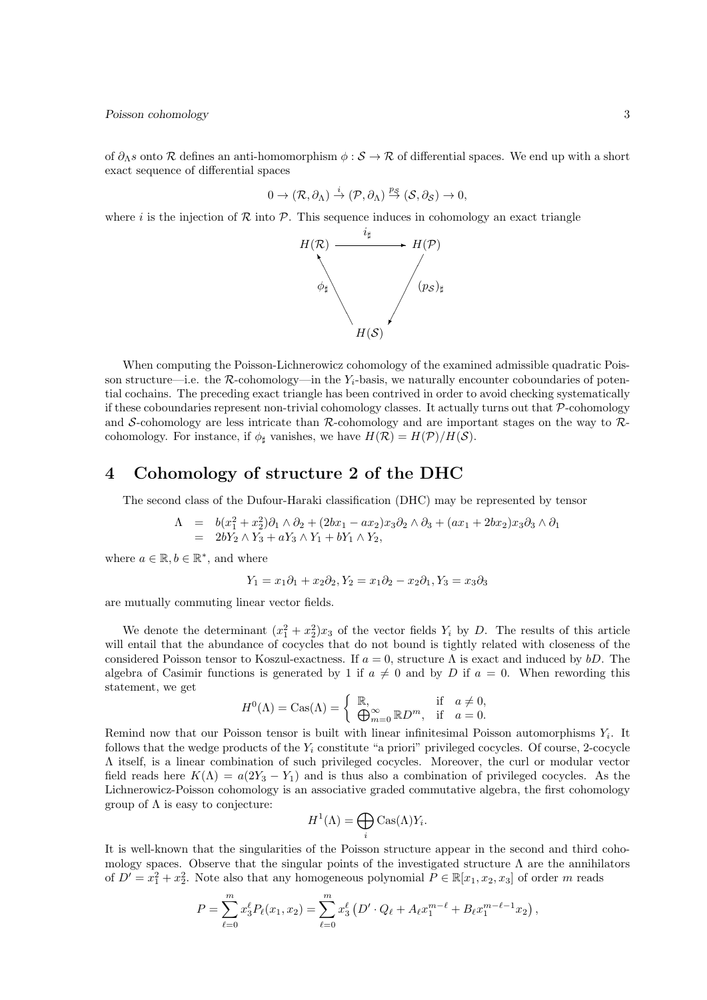of  $\partial_{\Lambda} s$  onto R defines an anti-homomorphism  $\phi : \mathcal{S} \to \mathcal{R}$  of differential spaces. We end up with a short exact sequence of differential spaces

$$
0 \to (\mathcal{R}, \partial_{\Lambda}) \stackrel{i}{\to} (\mathcal{P}, \partial_{\Lambda}) \stackrel{p_{\mathcal{S}}}{\to} (\mathcal{S}, \partial_{\mathcal{S}}) \to 0,
$$

where i is the injection of R into P. This sequence induces in cohomology an exact triangle



When computing the Poisson-Lichnerowicz cohomology of the examined admissible quadratic Poisson structure—i.e. the  $R$ -cohomology—in the  $Y_i$ -basis, we naturally encounter coboundaries of potential cochains. The preceding exact triangle has been contrived in order to avoid checking systematically if these coboundaries represent non-trivial cohomology classes. It actually turns out that  $P$ -cohomology and S-cohomology are less intricate than  $R$ -cohomology and are important stages on the way to  $R$ cohomology. For instance, if  $\phi_{\dagger}$  vanishes, we have  $H(\mathcal{R}) = H(\mathcal{P})/H(\mathcal{S})$ .

## 4 Cohomology of structure 2 of the DHC

The second class of the Dufour-Haraki classification (DHC) may be represented by tensor

$$
\begin{array}{rcl}\n\Lambda & = & b(x_1^2 + x_2^2)\partial_1 \wedge \partial_2 + (2bx_1 - ax_2)x_3\partial_2 \wedge \partial_3 + (ax_1 + 2bx_2)x_3\partial_3 \wedge \partial_1 \\
& = & 2bY_2 \wedge Y_3 + aY_3 \wedge Y_1 + bY_1 \wedge Y_2,\n\end{array}
$$

where  $a \in \mathbb{R}, b \in \mathbb{R}^*$ , and where

$$
Y_1 = x_1 \partial_1 + x_2 \partial_2, Y_2 = x_1 \partial_2 - x_2 \partial_1, Y_3 = x_3 \partial_3
$$

are mutually commuting linear vector fields.

We denote the determinant  $(x_1^2 + x_2^2)x_3$  of the vector fields  $Y_i$  by D. The results of this article will entail that the abundance of cocycles that do not bound is tightly related with closeness of the considered Poisson tensor to Koszul-exactness. If  $a = 0$ , structure  $\Lambda$  is exact and induced by bD. The algebra of Casimir functions is generated by 1 if  $a \neq 0$  and by D if  $a = 0$ . When rewording this statement, we get

$$
H^{0}(\Lambda) = \text{Cas}(\Lambda) = \begin{cases} \mathbb{R}, & \text{if } a \neq 0, \\ \bigoplus_{m=0}^{\infty} \mathbb{R}D^{m}, & \text{if } a = 0. \end{cases}
$$

Remind now that our Poisson tensor is built with linear infinitesimal Poisson automorphisms  $Y_i$ . It follows that the wedge products of the  $Y_i$  constitute "a priori" privileged cocycles. Of course, 2-cocycle Λ itself, is a linear combination of such privileged cocycles. Moreover, the curl or modular vector field reads here  $K(\Lambda) = a(2Y_3 - Y_1)$  and is thus also a combination of privileged cocycles. As the Lichnerowicz-Poisson cohomology is an associative graded commutative algebra, the first cohomology group of  $\Lambda$  is easy to conjecture:

$$
H^1(\Lambda) = \bigoplus_i \text{Cas}(\Lambda)Y_i.
$$

It is well-known that the singularities of the Poisson structure appear in the second and third cohomology spaces. Observe that the singular points of the investigated structure  $\Lambda$  are the annihilators of  $D' = x_1^2 + x_2^2$ . Note also that any homogeneous polynomial  $P \in \mathbb{R}[x_1, x_2, x_3]$  of order m reads

$$
P = \sum_{\ell=0}^{m} x_3^{\ell} P_{\ell}(x_1, x_2) = \sum_{\ell=0}^{m} x_3^{\ell} \left( D' \cdot Q_{\ell} + A_{\ell} x_1^{m-\ell} + B_{\ell} x_1^{m-\ell-1} x_2 \right),
$$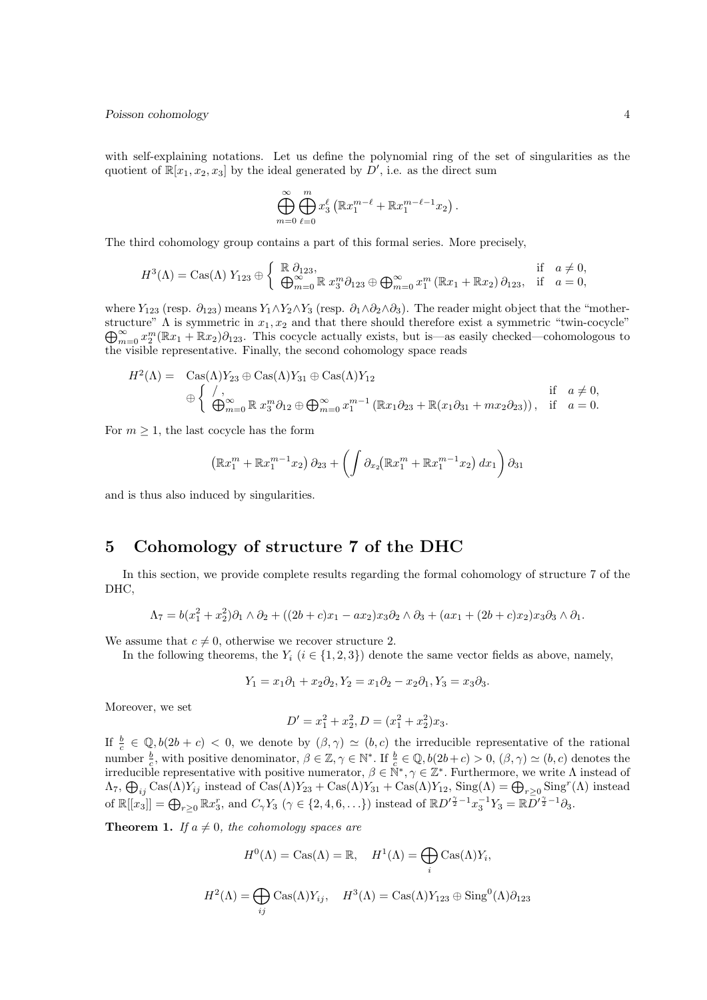#### Poisson cohomology  $4\overline{4}$

with self-explaining notations. Let us define the polynomial ring of the set of singularities as the quotient of  $\mathbb{R}[x_1, x_2, x_3]$  by the ideal generated by  $D'$ , i.e. as the direct sum

$$
\bigoplus_{m=0}^{\infty} \bigoplus_{\ell=0}^{m} x_3^{\ell} \left( \mathbb{R} x_1^{m-\ell} + \mathbb{R} x_1^{m-\ell-1} x_2 \right).
$$

The third cohomology group contains a part of this formal series. More precisely,

$$
H^{3}(\Lambda) = \text{Cas}(\Lambda) Y_{123} \oplus \left\{ \begin{array}{ll} \mathbb{R} \partial_{123}, & \text{if } a \neq 0, \\ \bigoplus_{m=0}^{\infty} \mathbb{R} x_{3}^{m} \partial_{123} \oplus \bigoplus_{m=0}^{\infty} x_{1}^{m} (\mathbb{R} x_{1} + \mathbb{R} x_{2}) \partial_{123}, & \text{if } a = 0, \end{array} \right.
$$

where  $Y_{123}$  (resp.  $\partial_{123}$ ) means  $Y_1 \wedge Y_2 \wedge Y_3$  (resp.  $\partial_1 \wedge \partial_2 \wedge \partial_3$ ). The reader might object that the "mother- $\bigoplus_{m=0}^{\infty} x_2^m (\mathbb{R}x_1 + \mathbb{R}x_2) \partial_{123}$ . This cocycle actually exists, but is—as easily checked—cohomologous to structure"  $\Lambda$  is symmetric in  $x_1, x_2$  and that there should therefore exist a symmetric "twin-cocycle" the visible representative. Finally, the second cohomology space reads

$$
H^{2}(\Lambda) = \operatorname{Cas}(\Lambda)Y_{23} \oplus \operatorname{Cas}(\Lambda)Y_{31} \oplus \operatorname{Cas}(\Lambda)Y_{12}
$$
  
\n
$$
\oplus \begin{cases} /, & \text{if } a \neq 0, \\ (\bigoplus_{m=0}^{\infty} \mathbb{R} x_{3}^{m} \partial_{12} \oplus \bigoplus_{m=0}^{\infty} x_{1}^{m-1} (\mathbb{R} x_{1} \partial_{23} + \mathbb{R} (x_{1} \partial_{31} + m x_{2} \partial_{23})), & \text{if } a = 0. \end{cases}
$$

For  $m \geq 1$ , the last cocycle has the form

$$
(\mathbb{R}x_1^m + \mathbb{R}x_1^{m-1}x_2)\,\partial_{23} + \left(\int \partial_{x_2}(\mathbb{R}x_1^m + \mathbb{R}x_1^{m-1}x_2)\,dx_1\right)\partial_{31}
$$

and is thus also induced by singularities.

# 5 Cohomology of structure 7 of the DHC

In this section, we provide complete results regarding the formal cohomology of structure 7 of the DHC,

$$
\Lambda_7 = b(x_1^2 + x_2^2)\partial_1 \wedge \partial_2 + ((2b+c)x_1 - ax_2)x_3\partial_2 \wedge \partial_3 + (ax_1 + (2b+c)x_2)x_3\partial_3 \wedge \partial_1.
$$

We assume that  $c \neq 0$ , otherwise we recover structure 2.

In the following theorems, the  $Y_i$  ( $i \in \{1,2,3\}$ ) denote the same vector fields as above, namely,

$$
Y_1 = x_1 \partial_1 + x_2 \partial_2, Y_2 = x_1 \partial_2 - x_2 \partial_1, Y_3 = x_3 \partial_3.
$$

Moreover, we set

$$
D' = x_1^2 + x_2^2, D = (x_1^2 + x_2^2)x_3.
$$

If  $\frac{b}{c} \in \mathbb{Q}, b(2b + c) < 0$ , we denote by  $(\beta, \gamma) \simeq (b, c)$  the irreducible representative of the rational number  $\frac{b}{c}$ , with positive denominator,  $\beta \in \mathbb{Z}, \gamma \in \mathbb{N}^*$ . If  $\frac{b}{c} \in \mathbb{Q}, b(2b+c) > 0$ ,  $(\beta, \gamma) \simeq (b, c)$  denotes the irreducible representative with positive numerator,  $\beta \in \mathbb{N}^*, \gamma \in \mathbb{Z}^*$ . Furthermore, we write  $\Lambda$  instead of  $\Lambda_7$ ,  $\bigoplus_{ij} \text{Cas}(\Lambda)Y_{ij}$  instead of  $\text{Cas}(\Lambda)Y_{23} + \text{Cas}(\Lambda)Y_{31} + \text{Cas}(\Lambda)Y_{12}$ ,  $\text{Sing}(\Lambda) = \bigoplus_{r \geq 0} \text{Sing}^r(\Lambda)$  instead of  $\mathbb{R}[[x_3]] = \bigoplus_{r \geq 0} \mathbb{R}x_3^r$ , and  $C_\gamma Y_3$   $(\gamma \in \{2, 4, 6, \ldots\})$  instead of  $\mathbb{R}D'^{\frac{\gamma}{2}-1}x_3^{-1}Y_3 = \mathbb{R}D'^{\frac{\gamma}{2}-1}\partial_3$ .

**Theorem 1.** If  $a \neq 0$ , the cohomology spaces are

$$
H^{0}(\Lambda) = \text{Cas}(\Lambda) = \mathbb{R}, \quad H^{1}(\Lambda) = \bigoplus_{i} \text{Cas}(\Lambda)Y_{i},
$$

$$
H^{2}(\Lambda) = \bigoplus_{ij} \text{Cas}(\Lambda)Y_{ij}, \quad H^{3}(\Lambda) = \text{Cas}(\Lambda)Y_{123} \oplus \text{Sing}^{0}(\Lambda)\partial_{123}
$$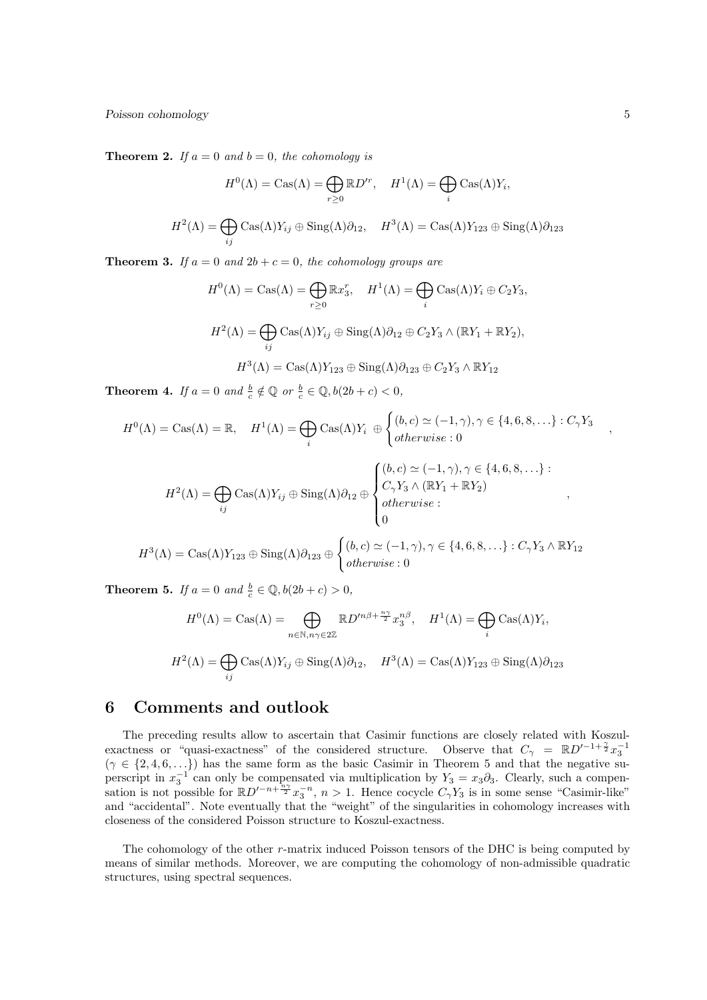Poisson cohomology 5

**Theorem 2.** If  $a = 0$  and  $b = 0$ , the cohomology is

$$
H^{0}(\Lambda) = \text{Cas}(\Lambda) = \bigoplus_{r \ge 0} \mathbb{R} D^{r}, \quad H^{1}(\Lambda) = \bigoplus_{i} \text{Cas}(\Lambda) Y_{i},
$$

$$
H^{2}(\Lambda) = \bigoplus_{ij} \text{Cas}(\Lambda) Y_{ij} \oplus \text{Sing}(\Lambda) \partial_{12}, \quad H^{3}(\Lambda) = \text{Cas}(\Lambda) Y_{123} \oplus \text{Sing}(\Lambda) \partial_{123}
$$

**Theorem 3.** If  $a = 0$  and  $2b + c = 0$ , the cohomology groups are

$$
H^{0}(\Lambda) = \text{Cas}(\Lambda) = \bigoplus_{r \geq 0} \mathbb{R}x_{3}^{r}, \quad H^{1}(\Lambda) = \bigoplus_{i} \text{Cas}(\Lambda)Y_{i} \oplus C_{2}Y_{3},
$$

$$
H^{2}(\Lambda) = \bigoplus_{ij} \text{Cas}(\Lambda)Y_{ij} \oplus \text{Sing}(\Lambda)\partial_{12} \oplus C_{2}Y_{3} \wedge (\mathbb{R}Y_{1} + \mathbb{R}Y_{2}),
$$

$$
H^{3}(\Lambda) = \text{Cas}(\Lambda)Y_{123} \oplus \text{Sing}(\Lambda)\partial_{123} \oplus C_{2}Y_{3} \wedge \mathbb{R}Y_{12}
$$

**Theorem 4.** If  $a = 0$  and  $\frac{b}{c} \notin \mathbb{Q}$  or  $\frac{b}{c} \in \mathbb{Q}$ ,  $b(2b + c) < 0$ ,

$$
H^{0}(\Lambda) = \text{Cas}(\Lambda) = \mathbb{R}, \quad H^{1}(\Lambda) = \bigoplus_{i} \text{Cas}(\Lambda)Y_{i} \; \oplus \begin{cases} (b,c) \simeq (-1,\gamma), \gamma \in \{4,6,8,\ldots\} : C_{\gamma}Y_{3} \\ otherwise : 0 \end{cases}
$$

$$
H^{2}(\Lambda) = \bigoplus_{ij} \text{Cas}(\Lambda)Y_{ij} \oplus \text{Sing}(\Lambda)\partial_{12} \oplus \begin{cases} (b,c) \simeq (-1,\gamma), \gamma \in \{4,6,8,\ldots\}: \\ C_{\gamma}Y_{3} \wedge (\mathbb{R}Y_{1} + \mathbb{R}Y_{2}) \\ otherwise: \\ 0 \end{cases}
$$

$$
H^{3}(\Lambda) = \text{Cas}(\Lambda)Y_{123} \oplus \text{Sing}(\Lambda)\partial_{123} \oplus \begin{cases} (b,c) \simeq (-1,\gamma), \gamma \in \{4,6,8,\ldots\}: C_{\gamma}Y_{3} \wedge \mathbb{R}Y_{12} \\ otherwise: 0 \end{cases}
$$

**Theorem 5.** If  $a = 0$  and  $\frac{b}{c} \in \mathbb{Q}$ ,  $b(2b + c) > 0$ ,

$$
H^{0}(\Lambda) = \text{Cas}(\Lambda) = \bigoplus_{n \in \mathbb{N}, n\gamma \in 2\mathbb{Z}} \mathbb{R} D'^{n\beta + \frac{n\gamma}{2}} x_{3}^{n\beta}, \quad H^{1}(\Lambda) = \bigoplus_{i} \text{Cas}(\Lambda) Y_{i},
$$

$$
H^{2}(\Lambda) = \bigoplus_{ij} \text{Cas}(\Lambda) Y_{ij} \oplus \text{Sing}(\Lambda) \partial_{12}, \quad H^{3}(\Lambda) = \text{Cas}(\Lambda) Y_{123} \oplus \text{Sing}(\Lambda) \partial_{123}
$$

# 6 Comments and outlook

The preceding results allow to ascertain that Casimir functions are closely related with Koszulexactness or "quasi-exactness" of the considered structure. Observe that  $C_{\gamma} = \mathbb{R}D'^{-1+\frac{\gamma}{2}}x_3^{-1}$  $(\gamma \in \{2, 4, 6, \ldots\})$  has the same form as the basic Casimir in Theorem 5 and that the negative superscript in  $x_3^{-1}$  can only be compensated via multiplication by  $Y_3 = x_3 \partial_3$ . Clearly, such a compensation is not possible for  $\mathbb{R}D^{n}$ <sup>-n+ $\frac{n\gamma}{2}x_3^{-n}$ ,  $n > 1$ . Hence cocycle  $C_\gamma Y_3$  is in some sense "Casimir-like"</sup> and "accidental". Note eventually that the "weight" of the singularities in cohomology increases with closeness of the considered Poisson structure to Koszul-exactness.

The cohomology of the other r-matrix induced Poisson tensors of the DHC is being computed by means of similar methods. Moreover, we are computing the cohomology of non-admissible quadratic structures, using spectral sequences.

,

,